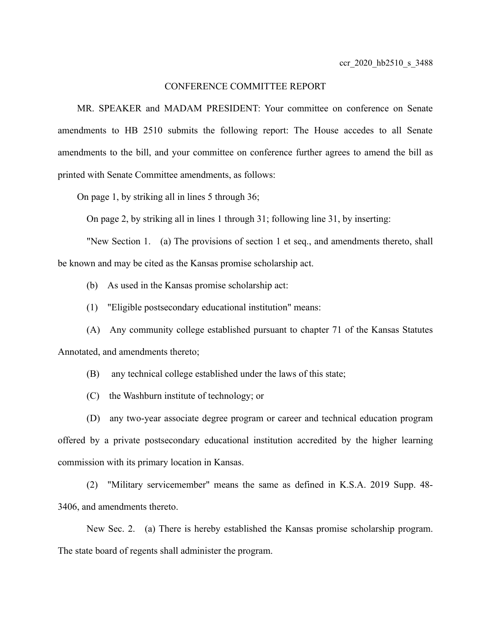## CONFERENCE COMMITTEE REPORT

MR. SPEAKER and MADAM PRESIDENT: Your committee on conference on Senate amendments to HB 2510 submits the following report: The House accedes to all Senate amendments to the bill, and your committee on conference further agrees to amend the bill as printed with Senate Committee amendments, as follows:

On page 1, by striking all in lines 5 through 36;

On page 2, by striking all in lines 1 through 31; following line 31, by inserting:

"New Section 1. (a) The provisions of section 1 et seq., and amendments thereto, shall be known and may be cited as the Kansas promise scholarship act.

(b) As used in the Kansas promise scholarship act:

(1) "Eligible postsecondary educational institution" means:

(A) Any community college established pursuant to chapter 71 of the Kansas Statutes Annotated, and amendments thereto;

(B) any technical college established under the laws of this state;

(C) the Washburn institute of technology; or

(D) any two-year associate degree program or career and technical education program offered by a private postsecondary educational institution accredited by the higher learning commission with its primary location in Kansas.

(2) "Military servicemember" means the same as defined in K.S.A. 2019 Supp. 48- 3406, and amendments thereto.

New Sec. 2. (a) There is hereby established the Kansas promise scholarship program. The state board of regents shall administer the program.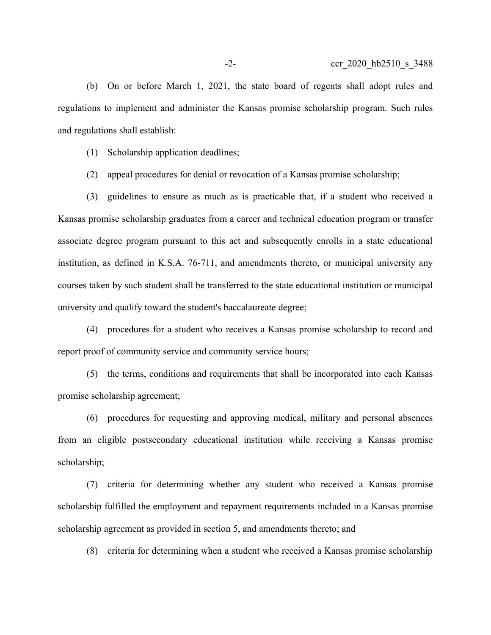(b) On or before March 1, 2021, the state board of regents shall adopt rules and regulations to implement and administer the Kansas promise scholarship program. Such rules and regulations shall establish:

(1) Scholarship application deadlines;

(2) appeal procedures for denial or revocation of a Kansas promise scholarship;

(3) guidelines to ensure as much as is practicable that, if a student who received a Kansas promise scholarship graduates from a career and technical education program or transfer associate degree program pursuant to this act and subsequently enrolls in a state educational institution, as defined in K.S.A. 76-711, and amendments thereto, or municipal university any courses taken by such student shall be transferred to the state educational institution or municipal university and qualify toward the student's baccalaureate degree;

(4) procedures for a student who receives a Kansas promise scholarship to record and report proof of community service and community service hours;

(5) the terms, conditions and requirements that shall be incorporated into each Kansas promise scholarship agreement;

(6) procedures for requesting and approving medical, military and personal absences from an eligible postsecondary educational institution while receiving a Kansas promise scholarship;

(7) criteria for determining whether any student who received a Kansas promise scholarship fulfilled the employment and repayment requirements included in a Kansas promise scholarship agreement as provided in section 5, and amendments thereto; and

(8) criteria for determining when a student who received a Kansas promise scholarship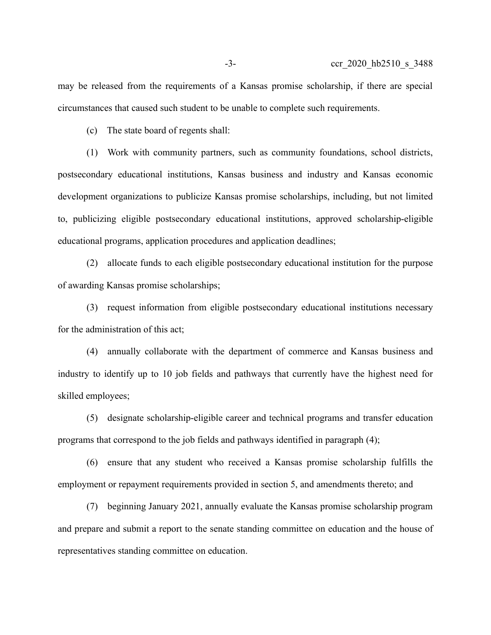may be released from the requirements of a Kansas promise scholarship, if there are special circumstances that caused such student to be unable to complete such requirements.

(c) The state board of regents shall:

(1) Work with community partners, such as community foundations, school districts, postsecondary educational institutions, Kansas business and industry and Kansas economic development organizations to publicize Kansas promise scholarships, including, but not limited to, publicizing eligible postsecondary educational institutions, approved scholarship-eligible educational programs, application procedures and application deadlines;

(2) allocate funds to each eligible postsecondary educational institution for the purpose of awarding Kansas promise scholarships;

(3) request information from eligible postsecondary educational institutions necessary for the administration of this act;

(4) annually collaborate with the department of commerce and Kansas business and industry to identify up to 10 job fields and pathways that currently have the highest need for skilled employees;

(5) designate scholarship-eligible career and technical programs and transfer education programs that correspond to the job fields and pathways identified in paragraph (4);

(6) ensure that any student who received a Kansas promise scholarship fulfills the employment or repayment requirements provided in section 5, and amendments thereto; and

(7) beginning January 2021, annually evaluate the Kansas promise scholarship program and prepare and submit a report to the senate standing committee on education and the house of representatives standing committee on education.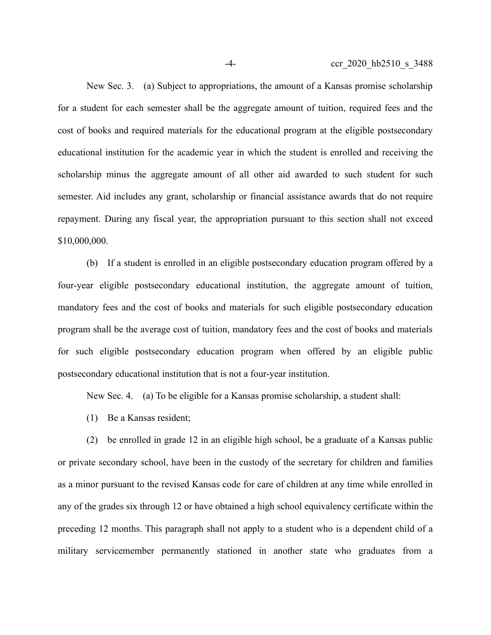New Sec. 3. (a) Subject to appropriations, the amount of a Kansas promise scholarship for a student for each semester shall be the aggregate amount of tuition, required fees and the cost of books and required materials for the educational program at the eligible postsecondary educational institution for the academic year in which the student is enrolled and receiving the scholarship minus the aggregate amount of all other aid awarded to such student for such semester. Aid includes any grant, scholarship or financial assistance awards that do not require repayment. During any fiscal year, the appropriation pursuant to this section shall not exceed \$10,000,000.

(b) If a student is enrolled in an eligible postsecondary education program offered by a four-year eligible postsecondary educational institution, the aggregate amount of tuition, mandatory fees and the cost of books and materials for such eligible postsecondary education program shall be the average cost of tuition, mandatory fees and the cost of books and materials for such eligible postsecondary education program when offered by an eligible public postsecondary educational institution that is not a four-year institution.

New Sec. 4. (a) To be eligible for a Kansas promise scholarship, a student shall:

(1) Be a Kansas resident;

(2) be enrolled in grade 12 in an eligible high school, be a graduate of a Kansas public or private secondary school, have been in the custody of the secretary for children and families as a minor pursuant to the revised Kansas code for care of children at any time while enrolled in any of the grades six through 12 or have obtained a high school equivalency certificate within the preceding 12 months. This paragraph shall not apply to a student who is a dependent child of a military servicemember permanently stationed in another state who graduates from a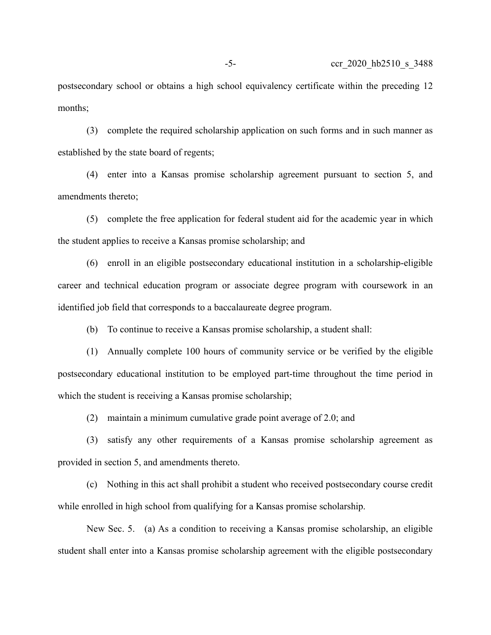postsecondary school or obtains a high school equivalency certificate within the preceding 12 months;

(3) complete the required scholarship application on such forms and in such manner as established by the state board of regents;

(4) enter into a Kansas promise scholarship agreement pursuant to section 5, and amendments thereto;

(5) complete the free application for federal student aid for the academic year in which the student applies to receive a Kansas promise scholarship; and

(6) enroll in an eligible postsecondary educational institution in a scholarship-eligible career and technical education program or associate degree program with coursework in an identified job field that corresponds to a baccalaureate degree program.

(b) To continue to receive a Kansas promise scholarship, a student shall:

(1) Annually complete 100 hours of community service or be verified by the eligible postsecondary educational institution to be employed part-time throughout the time period in which the student is receiving a Kansas promise scholarship;

(2) maintain a minimum cumulative grade point average of 2.0; and

(3) satisfy any other requirements of a Kansas promise scholarship agreement as provided in section 5, and amendments thereto.

(c) Nothing in this act shall prohibit a student who received postsecondary course credit while enrolled in high school from qualifying for a Kansas promise scholarship.

New Sec. 5. (a) As a condition to receiving a Kansas promise scholarship, an eligible student shall enter into a Kansas promise scholarship agreement with the eligible postsecondary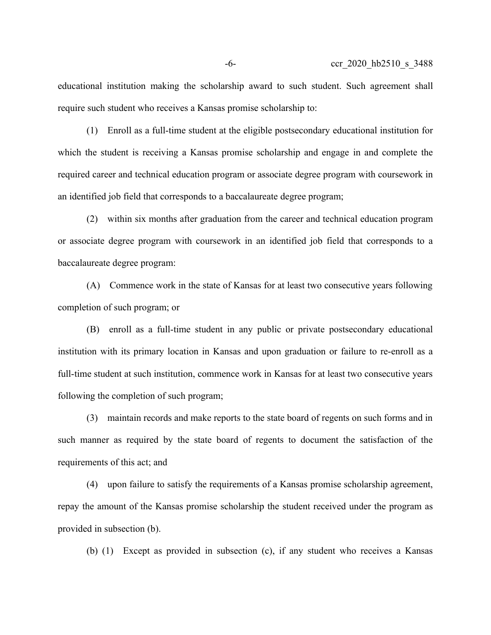educational institution making the scholarship award to such student. Such agreement shall require such student who receives a Kansas promise scholarship to:

(1) Enroll as a full-time student at the eligible postsecondary educational institution for which the student is receiving a Kansas promise scholarship and engage in and complete the required career and technical education program or associate degree program with coursework in an identified job field that corresponds to a baccalaureate degree program;

(2) within six months after graduation from the career and technical education program or associate degree program with coursework in an identified job field that corresponds to a baccalaureate degree program:

(A) Commence work in the state of Kansas for at least two consecutive years following completion of such program; or

(B) enroll as a full-time student in any public or private postsecondary educational institution with its primary location in Kansas and upon graduation or failure to re-enroll as a full-time student at such institution, commence work in Kansas for at least two consecutive years following the completion of such program;

(3) maintain records and make reports to the state board of regents on such forms and in such manner as required by the state board of regents to document the satisfaction of the requirements of this act; and

(4) upon failure to satisfy the requirements of a Kansas promise scholarship agreement, repay the amount of the Kansas promise scholarship the student received under the program as provided in subsection (b).

(b) (1) Except as provided in subsection (c), if any student who receives a Kansas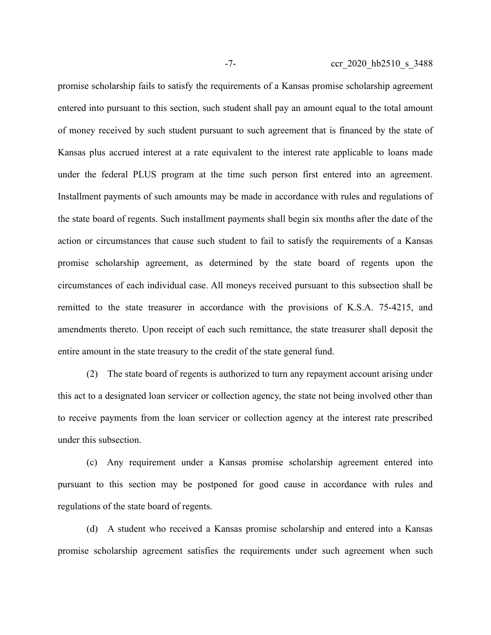promise scholarship fails to satisfy the requirements of a Kansas promise scholarship agreement entered into pursuant to this section, such student shall pay an amount equal to the total amount of money received by such student pursuant to such agreement that is financed by the state of Kansas plus accrued interest at a rate equivalent to the interest rate applicable to loans made under the federal PLUS program at the time such person first entered into an agreement. Installment payments of such amounts may be made in accordance with rules and regulations of the state board of regents. Such installment payments shall begin six months after the date of the action or circumstances that cause such student to fail to satisfy the requirements of a Kansas promise scholarship agreement, as determined by the state board of regents upon the circumstances of each individual case. All moneys received pursuant to this subsection shall be remitted to the state treasurer in accordance with the provisions of K.S.A. 75-4215, and amendments thereto. Upon receipt of each such remittance, the state treasurer shall deposit the entire amount in the state treasury to the credit of the state general fund.

(2) The state board of regents is authorized to turn any repayment account arising under this act to a designated loan servicer or collection agency, the state not being involved other than to receive payments from the loan servicer or collection agency at the interest rate prescribed under this subsection.

(c) Any requirement under a Kansas promise scholarship agreement entered into pursuant to this section may be postponed for good cause in accordance with rules and regulations of the state board of regents.

(d) A student who received a Kansas promise scholarship and entered into a Kansas promise scholarship agreement satisfies the requirements under such agreement when such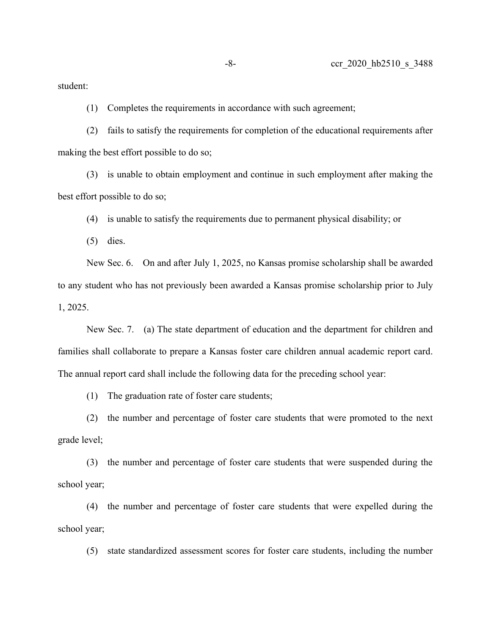student:

(1) Completes the requirements in accordance with such agreement;

(2) fails to satisfy the requirements for completion of the educational requirements after making the best effort possible to do so;

(3) is unable to obtain employment and continue in such employment after making the best effort possible to do so;

(4) is unable to satisfy the requirements due to permanent physical disability; or

(5) dies.

New Sec. 6. On and after July 1, 2025, no Kansas promise scholarship shall be awarded to any student who has not previously been awarded a Kansas promise scholarship prior to July 1, 2025.

New Sec. 7. (a) The state department of education and the department for children and families shall collaborate to prepare a Kansas foster care children annual academic report card. The annual report card shall include the following data for the preceding school year:

(1) The graduation rate of foster care students;

(2) the number and percentage of foster care students that were promoted to the next grade level;

(3) the number and percentage of foster care students that were suspended during the school year;

(4) the number and percentage of foster care students that were expelled during the school year;

(5) state standardized assessment scores for foster care students, including the number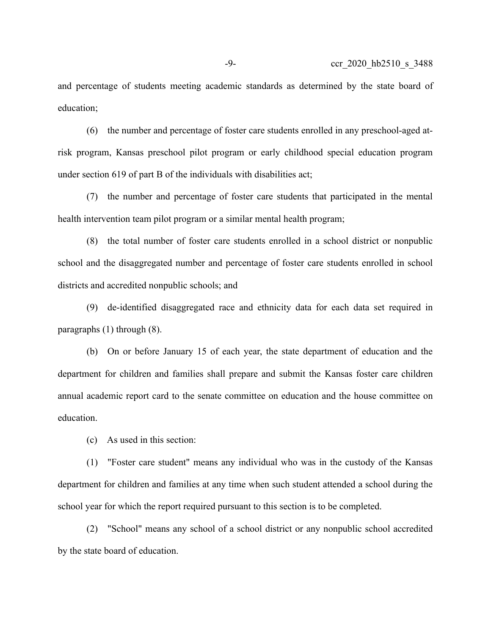and percentage of students meeting academic standards as determined by the state board of education;

(6) the number and percentage of foster care students enrolled in any preschool-aged atrisk program, Kansas preschool pilot program or early childhood special education program under section 619 of part B of the individuals with disabilities act;

(7) the number and percentage of foster care students that participated in the mental health intervention team pilot program or a similar mental health program;

(8) the total number of foster care students enrolled in a school district or nonpublic school and the disaggregated number and percentage of foster care students enrolled in school districts and accredited nonpublic schools; and

(9) de-identified disaggregated race and ethnicity data for each data set required in paragraphs (1) through (8).

(b) On or before January 15 of each year, the state department of education and the department for children and families shall prepare and submit the Kansas foster care children annual academic report card to the senate committee on education and the house committee on education.

(c) As used in this section:

(1) "Foster care student" means any individual who was in the custody of the Kansas department for children and families at any time when such student attended a school during the school year for which the report required pursuant to this section is to be completed.

(2) "School" means any school of a school district or any nonpublic school accredited by the state board of education.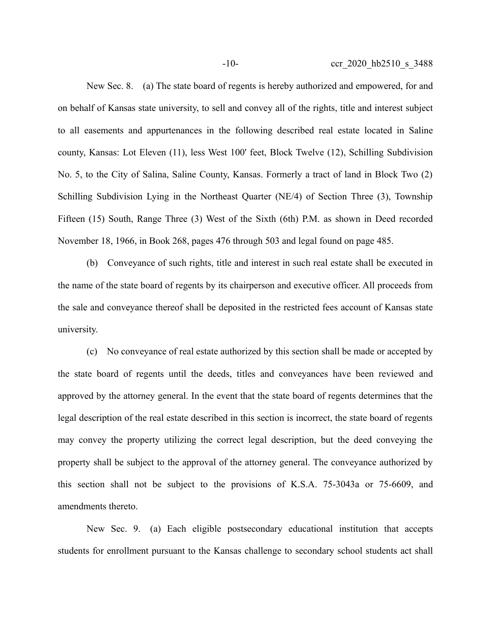New Sec. 8. (a) The state board of regents is hereby authorized and empowered, for and on behalf of Kansas state university, to sell and convey all of the rights, title and interest subject to all easements and appurtenances in the following described real estate located in Saline county, Kansas: Lot Eleven (11), less West 100' feet, Block Twelve (12), Schilling Subdivision No. 5, to the City of Salina, Saline County, Kansas. Formerly a tract of land in Block Two (2) Schilling Subdivision Lying in the Northeast Quarter (NE/4) of Section Three (3), Township Fifteen (15) South, Range Three (3) West of the Sixth (6th) P.M. as shown in Deed recorded November 18, 1966, in Book 268, pages 476 through 503 and legal found on page 485.

(b) Conveyance of such rights, title and interest in such real estate shall be executed in the name of the state board of regents by its chairperson and executive officer. All proceeds from the sale and conveyance thereof shall be deposited in the restricted fees account of Kansas state university.

(c) No conveyance of real estate authorized by this section shall be made or accepted by the state board of regents until the deeds, titles and conveyances have been reviewed and approved by the attorney general. In the event that the state board of regents determines that the legal description of the real estate described in this section is incorrect, the state board of regents may convey the property utilizing the correct legal description, but the deed conveying the property shall be subject to the approval of the attorney general. The conveyance authorized by this section shall not be subject to the provisions of K.S.A. 75-3043a or 75-6609, and amendments thereto.

New Sec. 9. (a) Each eligible postsecondary educational institution that accepts students for enrollment pursuant to the Kansas challenge to secondary school students act shall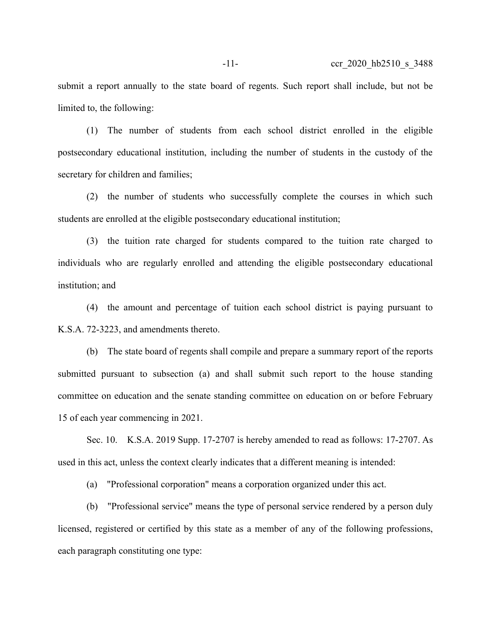submit a report annually to the state board of regents. Such report shall include, but not be limited to, the following:

(1) The number of students from each school district enrolled in the eligible postsecondary educational institution, including the number of students in the custody of the secretary for children and families;

(2) the number of students who successfully complete the courses in which such students are enrolled at the eligible postsecondary educational institution;

(3) the tuition rate charged for students compared to the tuition rate charged to individuals who are regularly enrolled and attending the eligible postsecondary educational institution; and

(4) the amount and percentage of tuition each school district is paying pursuant to K.S.A. 72-3223, and amendments thereto.

(b) The state board of regents shall compile and prepare a summary report of the reports submitted pursuant to subsection (a) and shall submit such report to the house standing committee on education and the senate standing committee on education on or before February 15 of each year commencing in 2021.

Sec. 10. K.S.A. 2019 Supp. 17-2707 is hereby amended to read as follows: 17-2707. As used in this act, unless the context clearly indicates that a different meaning is intended:

(a) "Professional corporation" means a corporation organized under this act.

(b) "Professional service" means the type of personal service rendered by a person duly licensed, registered or certified by this state as a member of any of the following professions, each paragraph constituting one type: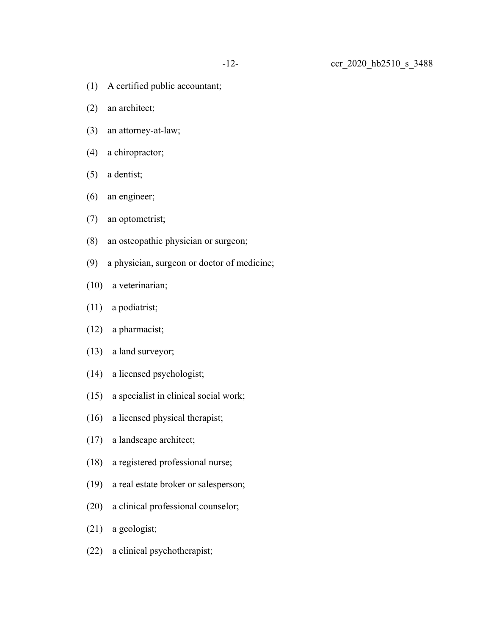- (1) A certified public accountant;
- (2) an architect;
- (3) an attorney-at-law;
- (4) a chiropractor;
- (5) a dentist;
- (6) an engineer;
- (7) an optometrist;
- (8) an osteopathic physician or surgeon;
- (9) a physician, surgeon or doctor of medicine;
- (10) a veterinarian;
- (11) a podiatrist;
- (12) a pharmacist;
- (13) a land surveyor;
- (14) a licensed psychologist;
- (15) a specialist in clinical social work;
- (16) a licensed physical therapist;
- (17) a landscape architect;
- (18) a registered professional nurse;
- (19) a real estate broker or salesperson;
- (20) a clinical professional counselor;
- (21) a geologist;
- (22) a clinical psychotherapist;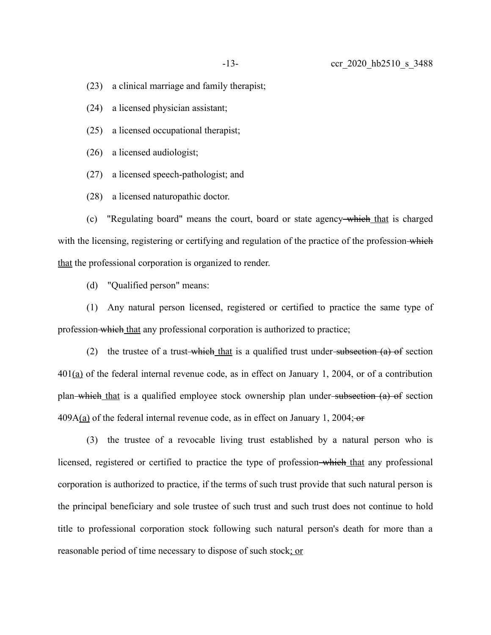(23) a clinical marriage and family therapist;

(24) a licensed physician assistant;

(25) a licensed occupational therapist;

(26) a licensed audiologist;

(27) a licensed speech-pathologist; and

(28) a licensed naturopathic doctor.

(c) "Regulating board" means the court, board or state agency which that is charged with the licensing, registering or certifying and regulation of the practice of the profession-which that the professional corporation is organized to render.

(d) "Qualified person" means:

(1) Any natural person licensed, registered or certified to practice the same type of profession which that any professional corporation is authorized to practice;

(2) the trustee of a trust-which that is a qualified trust under-subsection  $(a)$  of section 401(a) of the federal internal revenue code, as in effect on January 1, 2004, or of a contribution plan—which that is a qualified employee stock ownership plan under—subsection  $(a)$  of section  $409A(a)$  of the federal internal revenue code, as in effect on January 1, 2004; or

(3) the trustee of a revocable living trust established by a natural person who is licensed, registered or certified to practice the type of profession-which that any professional corporation is authorized to practice, if the terms of such trust provide that such natural person is the principal beneficiary and sole trustee of such trust and such trust does not continue to hold title to professional corporation stock following such natural person's death for more than a reasonable period of time necessary to dispose of such stock; or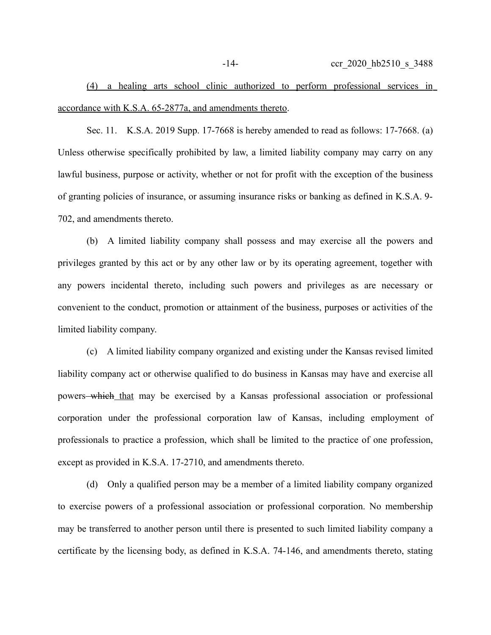(4) a healing arts school clinic authorized to perform professional services in accordance with K.S.A. 65-2877a, and amendments thereto.

Sec. 11. K.S.A. 2019 Supp. 17-7668 is hereby amended to read as follows: 17-7668. (a) Unless otherwise specifically prohibited by law, a limited liability company may carry on any lawful business, purpose or activity, whether or not for profit with the exception of the business of granting policies of insurance, or assuming insurance risks or banking as defined in K.S.A. 9- 702, and amendments thereto.

(b) A limited liability company shall possess and may exercise all the powers and privileges granted by this act or by any other law or by its operating agreement, together with any powers incidental thereto, including such powers and privileges as are necessary or convenient to the conduct, promotion or attainment of the business, purposes or activities of the limited liability company.

(c) A limited liability company organized and existing under the Kansas revised limited liability company act or otherwise qualified to do business in Kansas may have and exercise all powers which that may be exercised by a Kansas professional association or professional corporation under the professional corporation law of Kansas, including employment of professionals to practice a profession, which shall be limited to the practice of one profession, except as provided in K.S.A. 17-2710, and amendments thereto.

(d) Only a qualified person may be a member of a limited liability company organized to exercise powers of a professional association or professional corporation. No membership may be transferred to another person until there is presented to such limited liability company a certificate by the licensing body, as defined in K.S.A. 74-146, and amendments thereto, stating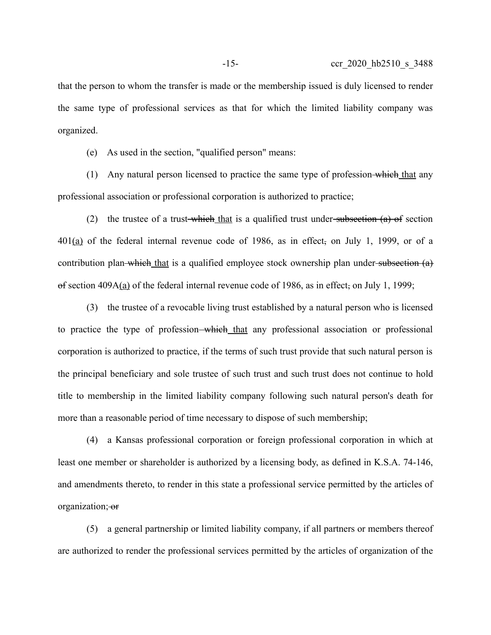that the person to whom the transfer is made or the membership issued is duly licensed to render the same type of professional services as that for which the limited liability company was organized.

(e) As used in the section, "qualified person" means:

(1) Any natural person licensed to practice the same type of profession-which that any professional association or professional corporation is authorized to practice;

(2) the trustee of a trust-which that is a qualified trust under-subsection  $(a)$  of section 401(a) of the federal internal revenue code of 1986, as in effect, on July 1, 1999, or of a contribution plan which that is a qualified employee stock ownership plan under subsection  $(a)$  $\theta$  section 409A(a) of the federal internal revenue code of 1986, as in effect, on July 1, 1999;

(3) the trustee of a revocable living trust established by a natural person who is licensed to practice the type of profession—which that any professional association or professional corporation is authorized to practice, if the terms of such trust provide that such natural person is the principal beneficiary and sole trustee of such trust and such trust does not continue to hold title to membership in the limited liability company following such natural person's death for more than a reasonable period of time necessary to dispose of such membership;

(4) a Kansas professional corporation or foreign professional corporation in which at least one member or shareholder is authorized by a licensing body, as defined in K.S.A. 74-146, and amendments thereto, to render in this state a professional service permitted by the articles of organization; or

(5) a general partnership or limited liability company, if all partners or members thereof are authorized to render the professional services permitted by the articles of organization of the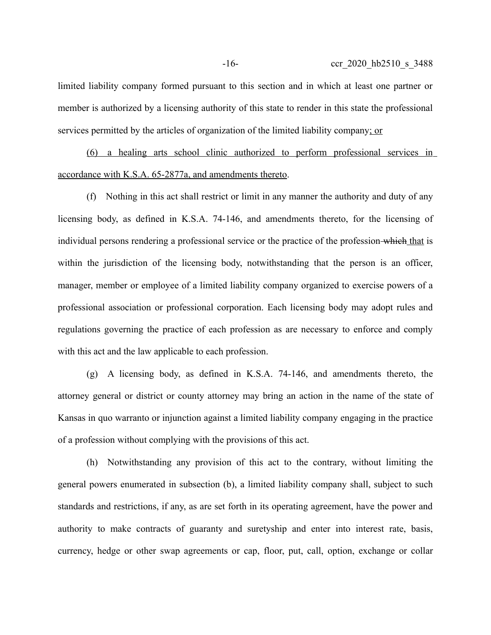limited liability company formed pursuant to this section and in which at least one partner or member is authorized by a licensing authority of this state to render in this state the professional services permitted by the articles of organization of the limited liability company; or

(6) a healing arts school clinic authorized to perform professional services in accordance with K.S.A. 65-2877a, and amendments thereto.

(f) Nothing in this act shall restrict or limit in any manner the authority and duty of any licensing body, as defined in K.S.A. 74-146, and amendments thereto, for the licensing of individual persons rendering a professional service or the practice of the profession which that is within the jurisdiction of the licensing body, notwithstanding that the person is an officer, manager, member or employee of a limited liability company organized to exercise powers of a professional association or professional corporation. Each licensing body may adopt rules and regulations governing the practice of each profession as are necessary to enforce and comply with this act and the law applicable to each profession.

(g) A licensing body, as defined in K.S.A. 74-146, and amendments thereto, the attorney general or district or county attorney may bring an action in the name of the state of Kansas in quo warranto or injunction against a limited liability company engaging in the practice of a profession without complying with the provisions of this act.

(h) Notwithstanding any provision of this act to the contrary, without limiting the general powers enumerated in subsection (b), a limited liability company shall, subject to such standards and restrictions, if any, as are set forth in its operating agreement, have the power and authority to make contracts of guaranty and suretyship and enter into interest rate, basis, currency, hedge or other swap agreements or cap, floor, put, call, option, exchange or collar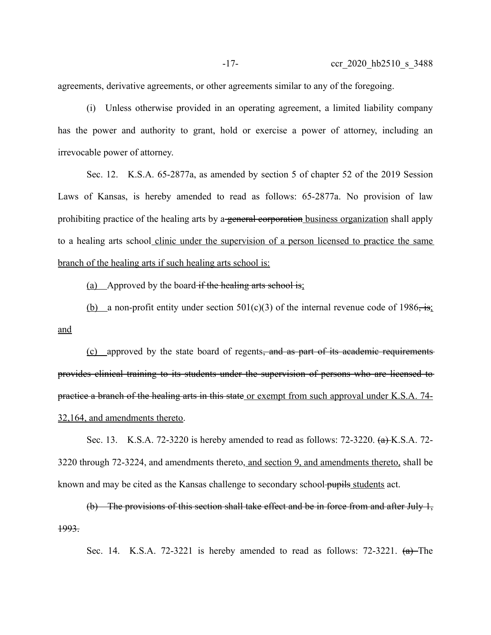agreements, derivative agreements, or other agreements similar to any of the foregoing.

(i) Unless otherwise provided in an operating agreement, a limited liability company has the power and authority to grant, hold or exercise a power of attorney, including an irrevocable power of attorney.

Sec. 12. K.S.A. 65-2877a, as amended by section 5 of chapter 52 of the 2019 Session Laws of Kansas, is hereby amended to read as follows: 65-2877a. No provision of law prohibiting practice of the healing arts by a general corporation business organization shall apply to a healing arts school clinic under the supervision of a person licensed to practice the same branch of the healing arts if such healing arts school is:

(a) Approved by the board if the healing arts school is;

(b) a non-profit entity under section 501(c)(3) of the internal revenue code of 1986, is: and

(c) approved by the state board of regents, and as part of its academic requirements provides clinical training to its students under the supervision of persons who are licensed to practice a branch of the healing arts in this state or exempt from such approval under K.S.A. 74- 32,164, and amendments thereto.

Sec. 13. K.S.A. 72-3220 is hereby amended to read as follows: 72-3220.  $(a)$ K.S.A. 72-3220 through 72-3224, and amendments thereto, and section 9 , and amendments thereto, shall be known and may be cited as the Kansas challenge to secondary school pupils students act.

(b) The provisions of this section shall take effect and be in force from and after July 1, 1993.

Sec. 14. K.S.A. 72-3221 is hereby amended to read as follows:  $72-3221$ .  $(a)$ -The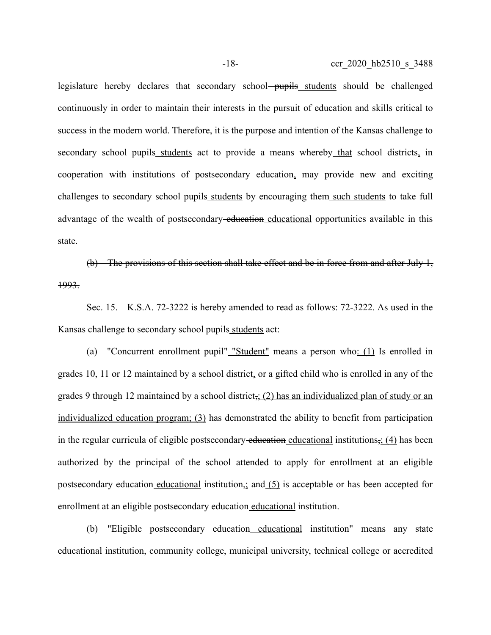legislature hereby declares that secondary school pupils students should be challenged continuously in order to maintain their interests in the pursuit of education and skills critical to success in the modern world. Therefore, it is the purpose and intention of the Kansas challenge to secondary school pupils students act to provide a means whereby that school districts, in cooperation with institutions of postsecondary education, may provide new and exciting challenges to secondary school-pupils students by encouraging them such students to take full advantage of the wealth of postsecondary education educational opportunities available in this state.

(b) The provisions of this section shall take effect and be in force from and after July 1, 1993.

Sec. 15. K.S.A. 72-3222 is hereby amended to read as follows: 72-3222. As used in the Kansas challenge to secondary school-pupils students act:

(a) "Concurrent enrollment pupil" "Student" means a person who: (1) Is enrolled in grades 10, 11 or 12 maintained by a school district, or a gifted child who is enrolled in any of the grades 9 through 12 maintained by a school district,  $(2)$  has an individualized plan of study or an individualized education program; (3) has demonstrated the ability to benefit from participation in the regular curricula of eligible postsecondary education educational institutions, (4) has been authorized by the principal of the school attended to apply for enrollment at an eligible postsecondary education educational institution<sub> $\vec{i}$ </sub> and (5) is acceptable or has been accepted for enrollment at an eligible postsecondary education educational institution.

(b) "Eligible postsecondary—education educational institution" means any state educational institution, community college, municipal university, technical college or accredited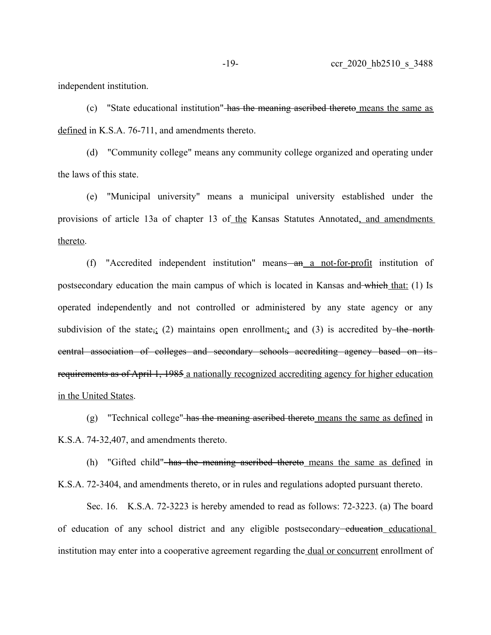independent institution.

(c) "State educational institution" has the meaning ascribed thereto means the same as defined in K.S.A. 76-711, and amendments thereto.

(d) "Community college" means any community college organized and operating under the laws of this state.

(e) "Municipal university" means a municipal university established under the provisions of article 13a of chapter 13 of the Kansas Statutes Annotated, and amendments thereto.

(f) "Accredited independent institution" means—an a not-for-profit institution of postsecondary education the main campus of which is located in Kansas and which that: (1) Is operated independently and not controlled or administered by any state agency or any subdivision of the state,  $\frac{1}{2}$  maintains open enrollment, and (3) is accredited by the northcentral association of colleges and secondary schools accrediting agency based on its requirements as of April 1, 1985 a nationally recognized accrediting agency for higher education in the United States.

(g) "Technical college" has the meaning ascribed thereto means the same as defined in K.S.A. 74-32,407, and amendments thereto.

(h) "Gifted child" has the meaning ascribed thereto means the same as defined in K.S.A. 72-3404, and amendments thereto, or in rules and regulations adopted pursuant thereto.

Sec. 16. K.S.A. 72-3223 is hereby amended to read as follows: 72-3223. (a) The board of education of any school district and any eligible postsecondary<del>-education</del> educational institution may enter into a cooperative agreement regarding the dual or concurrent enrollment of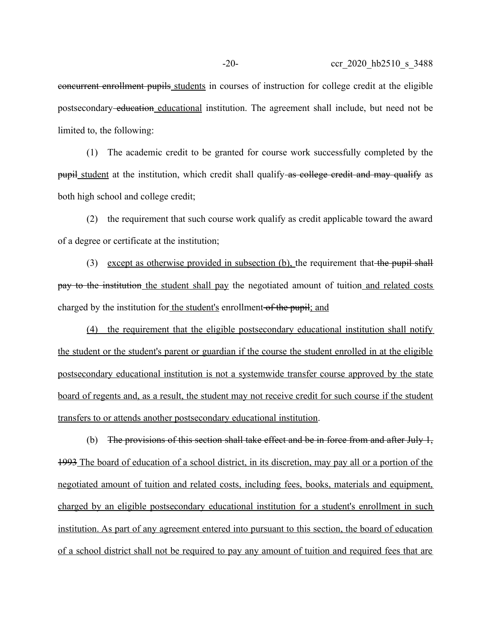limited to, the following:

(1) The academic credit to be granted for course work successfully completed by the pupil student at the institution, which credit shall qualify-as college credit and may qualify as both high school and college credit;

(2) the requirement that such course work qualify as credit applicable toward the award of a degree or certificate at the institution;

(3) except as otherwise provided in subsection (b), the requirement that the pupil shall pay to the institution the student shall pay the negotiated amount of tuition and related costs charged by the institution for the student's enrollment of the pupil; and

(4) the requirement that the eligible postsecondary educational institution shall notify the student or the student's parent or guardian if the course the student enrolled in at the eligible postsecondary educational institution is not a systemwide transfer course approved by the state board of regents and, as a result, the student may not receive credit for such course if the student transfers to or attends another postsecondary educational institution.

(b) The provisions of this section shall take effect and be in force from and after July  $1$ , 1993 The board of education of a school district, in its discretion, may pay all or a portion of the negotiated amount of tuition and related costs, including fees, books, materials and equipment, charged by an eligible postsecondary educational institution for a student's enrollment in such institution. As part of any agreement entered into pursuant to this section, the board of education of a school district shall not be required to pay any amount of tuition and required fees that are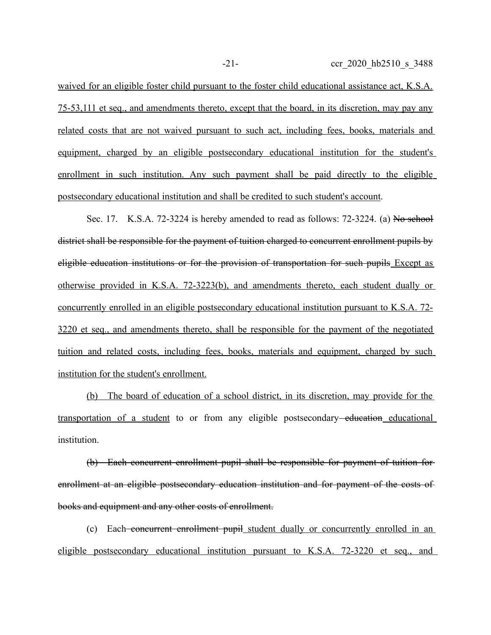waived for an eligible foster child pursuant to the foster child educational assistance act, K.S.A. 75-53,111 et seq., and amendments thereto, except that the board, in its discretion, may pay any related costs that are not waived pursuant to such act, including fees, books, materials and equipment, charged by an eligible postsecondary educational institution for the student's enrollment in such institution. Any such payment shall be paid directly to the eligible postsecondary educational institution and shall be credited to such student's account.

Sec. 17. K.S.A. 72-3224 is hereby amended to read as follows:  $72-3224$ . (a) No school district shall be responsible for the payment of tuition charged to concurrent enrollment pupils by eligible education institutions or for the provision of transportation for such pupils Except as otherwise provided in K.S.A. 72-3223(b), and amendments thereto, each student dually or concurrently enrolled in an eligible postsecondary educational institution pursuant to K.S.A. 72- 3220 et seq., and amendments thereto, shall be responsible for the payment of the negotiated tuition and related costs, including fees, books, materials and equipment, charged by such institution for the student's enrollment.

(b) The board of education of a school district, in its discretion, may provide for the transportation of a student to or from any eligible postsecondary<del>-education</del> educational institution.

(b) Each concurrent enrollment pupil shall be responsible for payment of tuition for enrollment at an eligible postsecondary education institution and for payment of the costs of books and equipment and any other costs of enrollment.

(c) Each concurrent enrollment pupil student dually or concurrently enrolled in an eligible postsecondary educational institution pursuant to K.S.A. 72-3220 et seq., and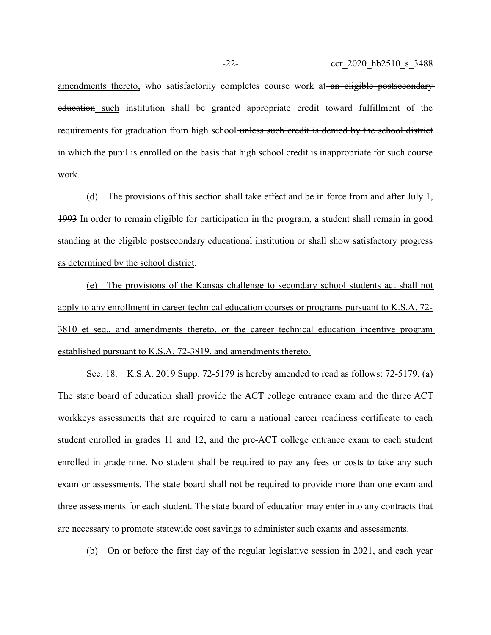amendments thereto, who satisfactorily completes course work at an eligible postsecondary education such institution shall be granted appropriate credit toward fulfillment of the requirements for graduation from high school unless such credit is denied by the school district in which the pupil is enrolled on the basis that high school credit is inappropriate for such course work.

(d) The provisions of this section shall take effect and be in force from and after July  $\frac{1}{2}$ . 1993 In order to remain eligible for participation in the program, a student shall remain in good standing at the eligible postsecondary educational institution or shall show satisfactory progress as determined by the school district.

 (e) The provisions of the Kansas challenge to secondary school students act shall not apply to any enrollment in career technical education courses or programs pursuant to K.S.A. 72- 3810 et seq., and amendments thereto, or the career technical education incentive program established pursuant to K.S.A. 72-3819, and amendments thereto.

Sec. 18. K.S.A. 2019 Supp. 72-5179 is hereby amended to read as follows: 72-5179. (a) The state board of education shall provide the ACT college entrance exam and the three ACT workkeys assessments that are required to earn a national career readiness certificate to each student enrolled in grades 11 and 12, and the pre-ACT college entrance exam to each student enrolled in grade nine. No student shall be required to pay any fees or costs to take any such exam or assessments. The state board shall not be required to provide more than one exam and three assessments for each student. The state board of education may enter into any contracts that are necessary to promote statewide cost savings to administer such exams and assessments.

(b) On or before the first day of the regular legislative session in 2021, and each year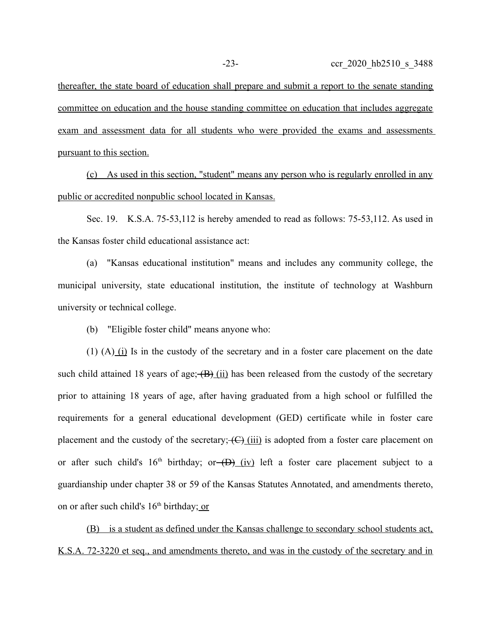thereafter, the state board of education shall prepare and submit a report to the senate standing committee on education and the house standing committee on education that includes aggregate exam and assessment data for all students who were provided the exams and assessments pursuant to this section.

 ( c) As used in this section, "student" means any person who is regularly enrolled in any public or accredited nonpublic school located in Kansas.

Sec. 19. K.S.A. 75-53,112 is hereby amended to read as follows: 75-53,112. As used in the Kansas foster child educational assistance act:

(a) "Kansas educational institution" means and includes any community college, the municipal university, state educational institution, the institute of technology at Washburn university or technical college.

(b) "Eligible foster child" means anyone who:

(1)  $(A)$  (i) Is in the custody of the secretary and in a foster care placement on the date such child attained 18 years of age;  $(B)$  (ii) has been released from the custody of the secretary prior to attaining 18 years of age, after having graduated from a high school or fulfilled the requirements for a general educational development (GED) certificate while in foster care placement and the custody of the secretary;  $\left(\frac{C}{i}\right)$  (iii) is adopted from a foster care placement on or after such child's  $16<sup>th</sup>$  birthday; or  $(D)$  (iv) left a foster care placement subject to a guardianship under chapter 38 or 59 of the Kansas Statutes Annotated, and amendments thereto, on or after such child's  $16<sup>th</sup>$  birthday; or

(B) is a student as defined under the Kansas challenge to secondary school students act, K.S.A. 72-3220 et seq., and amendments thereto, and was in the custody of the secretary and in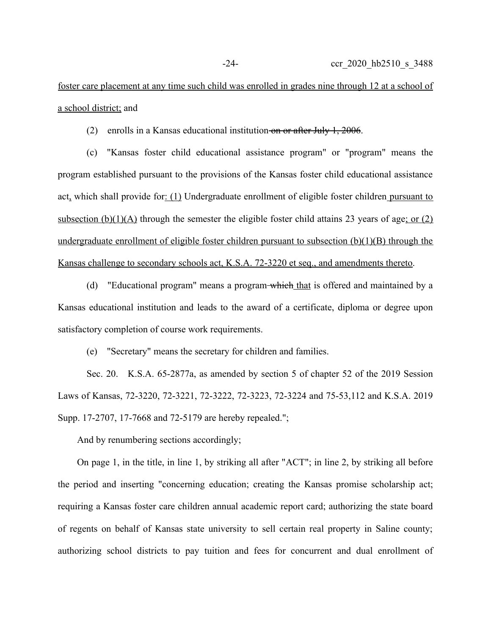foster care placement at any time such child was enrolled in grades nine through 12 at a school of a school district; and

(2) enrolls in a Kansas educational institution on or after July 1, 2006.

(c) "Kansas foster child educational assistance program" or "program" means the program established pursuant to the provisions of the Kansas foster child educational assistance act, which shall provide for: (1) Undergraduate enrollment of eligible foster children pursuant to subsection (b)(1)(A) through the semester the eligible foster child attains 23 years of age; or (2) undergraduate enrollment of eligible foster children pursuant to subsection  $(b)(1)(B)$  through the Kansas challenge to secondary schools act, K.S.A. 72-3220 et seq., and amendments thereto.

(d) "Educational program" means a program which that is offered and maintained by a Kansas educational institution and leads to the award of a certificate, diploma or degree upon satisfactory completion of course work requirements.

(e) "Secretary" means the secretary for children and families.

Sec. 20. K.S.A. 65-2877a, as amended by section 5 of chapter 52 of the 2019 Session Laws of Kansas, 72-3220, 72-3221, 72-3222, 72-3223, 72-3224 and 75-53,112 and K.S.A. 2019 Supp. 17-2707, 17-7668 and 72-5179 are hereby repealed.";

And by renumbering sections accordingly;

On page 1, in the title, in line 1, by striking all after "ACT"; in line 2, by striking all before the period and inserting "concerning education; creating the Kansas promise scholarship act; requiring a Kansas foster care children annual academic report card; authorizing the state board of regents on behalf of Kansas state university to sell certain real property in Saline county; authorizing school districts to pay tuition and fees for concurrent and dual enrollment of